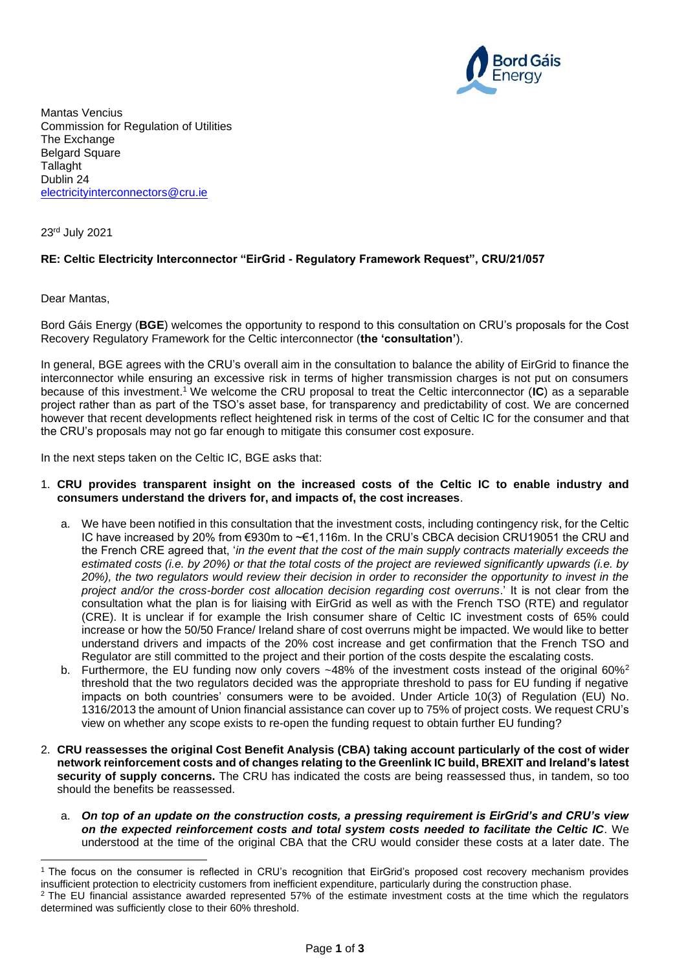

Mantas Vencius Commission for Regulation of Utilities The Exchange Belgard Square Tallaght Dublin 24 [electricityinterconnectors@cru.ie](mailto:electricityinterconnectors@cru.ie)

23rd July 2021

## **RE: Celtic Electricity Interconnector "EirGrid - Regulatory Framework Request", CRU/21/057**

Dear Mantas,

Bord Gáis Energy (**BGE**) welcomes the opportunity to respond to this consultation on CRU's proposals for the Cost Recovery Regulatory Framework for the Celtic interconnector (**the 'consultation'**).

In general, BGE agrees with the CRU's overall aim in the consultation to balance the ability of EirGrid to finance the interconnector while ensuring an excessive risk in terms of higher transmission charges is not put on consumers because of this investment.<sup>1</sup> We welcome the CRU proposal to treat the Celtic interconnector (**IC**) as a separable project rather than as part of the TSO's asset base, for transparency and predictability of cost. We are concerned however that recent developments reflect heightened risk in terms of the cost of Celtic IC for the consumer and that the CRU's proposals may not go far enough to mitigate this consumer cost exposure.

In the next steps taken on the Celtic IC, BGE asks that:

## 1. **CRU provides transparent insight on the increased costs of the Celtic IC to enable industry and consumers understand the drivers for, and impacts of, the cost increases**.

- a. We have been notified in this consultation that the investment costs, including contingency risk, for the Celtic IC have increased by 20% from €930m to ~€1,116m. In the CRU's CBCA decision CRU19051 the CRU and the French CRE agreed that, '*in the event that the cost of the main supply contracts materially exceeds the estimated costs (i.e. by 20%) or that the total costs of the project are reviewed significantly upwards (i.e. by 20%), the two regulators would review their decision in order to reconsider the opportunity to invest in the project and/or the cross-border cost allocation decision regarding cost overruns*.' It is not clear from the consultation what the plan is for liaising with EirGrid as well as with the French TSO (RTE) and regulator (CRE). It is unclear if for example the Irish consumer share of Celtic IC investment costs of 65% could increase or how the 50/50 France/ Ireland share of cost overruns might be impacted. We would like to better understand drivers and impacts of the 20% cost increase and get confirmation that the French TSO and Regulator are still committed to the project and their portion of the costs despite the escalating costs.
- b. Furthermore, the EU funding now only covers  $-48\%$  of the investment costs instead of the original 60%<sup>2</sup> threshold that the two regulators decided was the appropriate threshold to pass for EU funding if negative impacts on both countries' consumers were to be avoided. Under Article 10(3) of Regulation (EU) No. 1316/2013 the amount of Union financial assistance can cover up to 75% of project costs. We request CRU's view on whether any scope exists to re-open the funding request to obtain further EU funding?
- 2. **CRU reassesses the original Cost Benefit Analysis (CBA) taking account particularly of the cost of wider network reinforcement costs and of changes relating to the Greenlink IC build, BREXIT and Ireland's latest security of supply concerns.** The CRU has indicated the costs are being reassessed thus, in tandem, so too should the benefits be reassessed.
	- a. *On top of an update on the construction costs, a pressing requirement is EirGrid's and CRU's view on the expected reinforcement costs and total system costs needed to facilitate the Celtic IC*. We understood at the time of the original CBA that the CRU would consider these costs at a later date. The

<sup>1</sup> The focus on the consumer is reflected in CRU's recognition that EirGrid's proposed cost recovery mechanism provides insufficient protection to electricity customers from inefficient expenditure, particularly during the construction phase.  $2$  The EU financial assistance awarded represented 57% of the estimate investment costs at the time which the regulators determined was sufficiently close to their 60% threshold.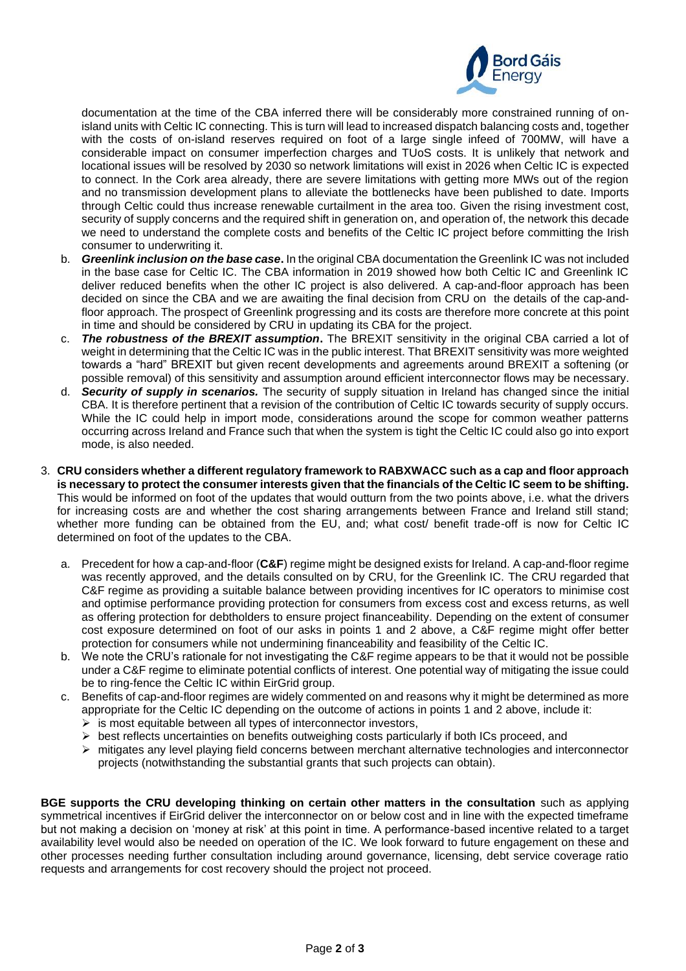

documentation at the time of the CBA inferred there will be considerably more constrained running of onisland units with Celtic IC connecting. This is turn will lead to increased dispatch balancing costs and, together with the costs of on-island reserves required on foot of a large single infeed of 700MW, will have a considerable impact on consumer imperfection charges and TUoS costs. It is unlikely that network and locational issues will be resolved by 2030 so network limitations will exist in 2026 when Celtic IC is expected to connect. In the Cork area already, there are severe limitations with getting more MWs out of the region and no transmission development plans to alleviate the bottlenecks have been published to date. Imports through Celtic could thus increase renewable curtailment in the area too. Given the rising investment cost, security of supply concerns and the required shift in generation on, and operation of, the network this decade we need to understand the complete costs and benefits of the Celtic IC project before committing the Irish consumer to underwriting it.

- b. *Greenlink inclusion on the base case***.** In the original CBA documentation the Greenlink IC was not included in the base case for Celtic IC. The CBA information in 2019 showed how both Celtic IC and Greenlink IC deliver reduced benefits when the other IC project is also delivered. A cap-and-floor approach has been decided on since the CBA and we are awaiting the final decision from CRU on the details of the cap-andfloor approach. The prospect of Greenlink progressing and its costs are therefore more concrete at this point in time and should be considered by CRU in updating its CBA for the project.
- c. *The robustness of the BREXIT assumption***.** The BREXIT sensitivity in the original CBA carried a lot of weight in determining that the Celtic IC was in the public interest. That BREXIT sensitivity was more weighted towards a "hard" BREXIT but given recent developments and agreements around BREXIT a softening (or possible removal) of this sensitivity and assumption around efficient interconnector flows may be necessary.
- d. *Security of supply in scenarios.* The security of supply situation in Ireland has changed since the initial CBA. It is therefore pertinent that a revision of the contribution of Celtic IC towards security of supply occurs. While the IC could help in import mode, considerations around the scope for common weather patterns occurring across Ireland and France such that when the system is tight the Celtic IC could also go into export mode, is also needed.
- 3. **CRU considers whether a different regulatory framework to RABXWACC such as a cap and floor approach is necessary to protect the consumer interests given that the financials of the Celtic IC seem to be shifting.** This would be informed on foot of the updates that would outturn from the two points above, i.e. what the drivers for increasing costs are and whether the cost sharing arrangements between France and Ireland still stand; whether more funding can be obtained from the EU, and; what cost/ benefit trade-off is now for Celtic IC determined on foot of the updates to the CBA.
	- a. Precedent for how a cap-and-floor (**C&F**) regime might be designed exists for Ireland. A cap-and-floor regime was recently approved, and the details consulted on by CRU, for the Greenlink IC. The CRU regarded that C&F regime as providing a suitable balance between providing incentives for IC operators to minimise cost and optimise performance providing protection for consumers from excess cost and excess returns, as well as offering protection for debtholders to ensure project financeability. Depending on the extent of consumer cost exposure determined on foot of our asks in points 1 and 2 above, a C&F regime might offer better protection for consumers while not undermining financeability and feasibility of the Celtic IC.
	- b. We note the CRU's rationale for not investigating the C&F regime appears to be that it would not be possible under a C&F regime to eliminate potential conflicts of interest. One potential way of mitigating the issue could be to ring-fence the Celtic IC within EirGrid group.
	- c. Benefits of cap-and-floor regimes are widely commented on and reasons why it might be determined as more appropriate for the Celtic IC depending on the outcome of actions in points 1 and 2 above, include it:
		- $\triangleright$  is most equitable between all types of interconnector investors,
		- $\triangleright$  best reflects uncertainties on benefits outweighing costs particularly if both ICs proceed, and
		- ➢ mitigates any level playing field concerns between merchant alternative technologies and interconnector projects (notwithstanding the substantial grants that such projects can obtain).

**BGE supports the CRU developing thinking on certain other matters in the consultation** such as applying symmetrical incentives if EirGrid deliver the interconnector on or below cost and in line with the expected timeframe but not making a decision on 'money at risk' at this point in time. A performance-based incentive related to a target availability level would also be needed on operation of the IC. We look forward to future engagement on these and other processes needing further consultation including around governance, licensing, debt service coverage ratio requests and arrangements for cost recovery should the project not proceed.